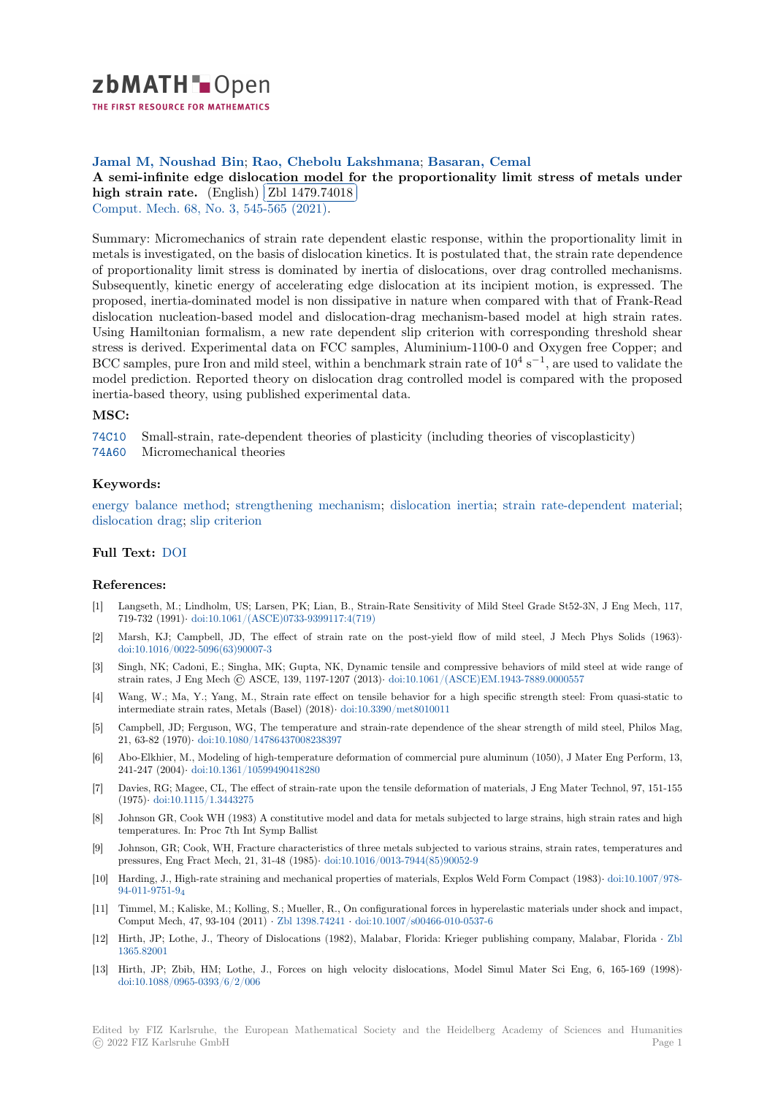

THE FIRST RESOURCE FOR MATHEMATICS

# **Jamal M, Noushad Bin**; **Rao, Chebolu Lakshmana**; **Basaran, Cemal**

[A](https://zbmath.org/) semi-infinite edge dislocation model for the proportionality limit stress of metals under **high strain rate.** (English) Zbl 1479.74018 ✁

Comput. Mech. 68, No. 3, 545-565 (2021).

[Summary: Micromechanics of strain rate dependent elastic response, within the proportionality limit in](https://zbmath.org/1479.74018) [metals is investigat](https://zbmath.org/1479.74018)ed, on the [basis of dislocation](https://zbmath.org/1479.74018) kinetics. It is postulated that, the strain rate dependence [of proportionali](https://zbmath.org/journals/?q=se:1179)[ty limit stress is dominate](https://zbmath.org/?q=in:472495)d by inertia of dislocations, over drag controlled mechanisms. Subsequently, kinetic energy of accelerating edge dislocation at its incipient motion, is expressed. The proposed, inertia-dominated model is non dissipative in nature when compared with that of Frank-Read dislocation nucleation-based model and dislocation-drag mechanism-based model at high strain rates. Using Hamiltonian formalism, a new rate dependent slip criterion with corresponding threshold shear stress is derived. Experimental data on FCC samples, Aluminium-1100-0 and Oxygen free Copper; and BCC samples, pure Iron and mild steel, within a benchmark strain rate of  $10^4$  s<sup>-1</sup>, are used to validate the model prediction. Reported theory on dislocation drag controlled model is compared with the proposed inertia-based theory, using published experimental data.

### **MSC:**

74C10 Small-strain, rate-dependent theories of plasticity (including theories of viscoplasticity) 74A60 Micromechanical theories

### **Keywords:**

[energy](https://zbmath.org/classification/?q=cc:74C10) balance method; strengthening mechanism; dislocation inertia; strain rate-dependent material; [disloca](https://zbmath.org/classification/?q=cc:74A60)tion drag; slip criterion

### **Full Text:** DOI

## **[References:](https://zbmath.org/?q=ut:dislocation+drag)**

- [1] Langseth, M.; Lindholm, US; Larsen, PK; Lian, B., Strain-Rate Sensitivity of Mild Steel Grade St52-3N, J Eng Mech, 117, 719-732([1991\)](https://dx.doi.org/10.1007/s00466-020-01959-2)*·* doi:10.1061/(ASCE)0733-9399117:4(719)
- [2] Marsh, KJ; Campbell, JD, The effect of strain rate on the post-yield flow of mild steel, J Mech Phys Solids (1963)*·* doi:10.1016/0022-5096(63)90007-3
- [3] Singh, NK; Cadoni, E.; Singha, MK; Gupta, NK, Dynamic tensile and compressive behaviors of mild steel at wide range of strain rates, J [Eng Mech © ASCE, 139, 1197-1207 \(2013](https://dx.doi.org/10.1061/(ASCE)0733-9399117:4(719)))*·* doi:10.1061/(ASCE)EM.1943-7889.0000557
- [4] Wang, W.; Ma, Y.; Yang, M., Strain rate effect on tensile behavior for a high specific strength steel: From quasi-static to [intermediate strain rates, Metals \(](https://dx.doi.org/10.1016/0022-5096(63)90007-3)Basel) (2018)*·* doi:10.3390/met8010011
- [5] Campbell, JD; Ferguson, WG, The temperature and strain-rate dependence of the shear strength of mild steel, Philos Mag, 21, 63-82 (1970)*·* doi:10.1080/14786437008238397
- [6] Abo-Elkhier, M., Modeling of high-temperature deformation of commercial pure aluminum (1050), J Mater Eng Perform, 13, 241-247 (2004)*·* doi:10.1361/10599490418280
- [7] Davies, RG; Magee, CL, The effect of strain-rate upon the tensile deformation of materials, J Eng Mater Technol, 97, 151-155 (1975)*·* doi:10.11[15/1.3443275](https://dx.doi.org/10.1080/14786437008238397)
- [8] Johnson GR, Cook WH (1983) A constitutive model and data for metals subjected to large strains, high strain rates and high temperatures.I[n: Proc 7th Int Symp Ballist](https://dx.doi.org/10.1361/10599490418280)
- [9] Johnson, GR; Cook, WH, Fracture characteristics of three metals subjected to various strains, strain rates, temperatures and pressur[es, Eng Fract Mech, 21](https://dx.doi.org/10.1115/1.3443275), 31-48 (1985)*·* doi:10.1016/0013-7944(85)90052-9
- [10] Harding, J., High-rate straining and mechanical properties of materials, Explos Weld Form Compact (1983)*·* doi:10.1007/978- 94-011-9751-9<sup>4</sup>
- [11] Timmel, M.; Kaliske, M.; Kolling, S.; Mueller, R., On configurational forces in hyperelastic materials under shock and impact, Comput Mech, 47, 93-104 (2011) *·* Zbl 1398.74241 *·* [doi:10.1007/s00466-010-053](https://dx.doi.org/10.1016/0013-7944(85)90052-9)7-6
- [12] Hirth, JP; Lothe, J., Theory of Dislocations (1982), Malabar, Florida: Krieger publishing company, Malab[ar, Florida](https://dx.doi.org/10.1007/978-94-011-9751-9_4) *·* Zbl [1365.82001](https://dx.doi.org/10.1007/978-94-011-9751-9_4)
- [13] Hirth, JP; Zbib, HM; Lothe, J., Forces on high velocity dislocations, Model Simul Mater Sci Eng, 6, 165-169 (1998)*·* doi:10.1088/0965-0393/6/2/006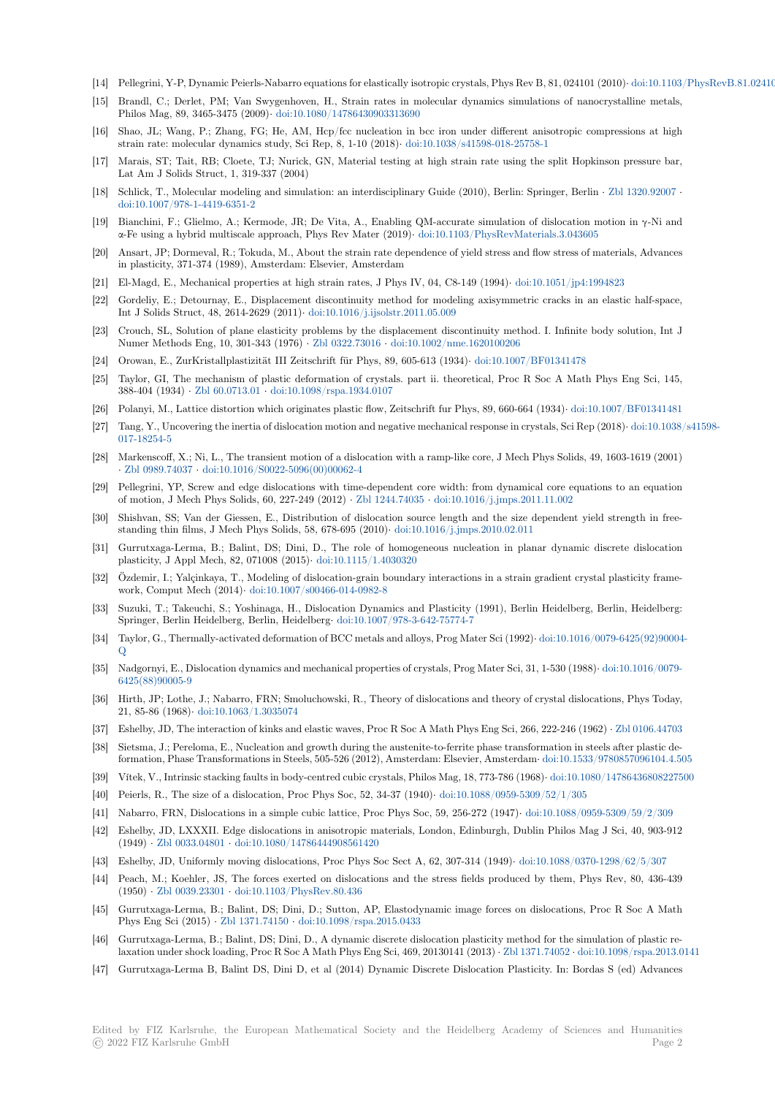- [14] Pellegrini, Y-P, Dynamic Peierls-Nabarro equations for elastically isotropic crystals, Phys Rev B, 81, 024101 (2010)*·* doi:10.1103/PhysRevB.81.024101
- [15] Brandl, C.; Derlet, PM; Van Swygenhoven, H., Strain rates in molecular dynamics simulations of nanocrystalline metals, Philos Mag, 89, 3465-3475 (2009)*·* doi:10.1080/14786430903313690
- [16] Shao, JL; Wang, P.; Zhang, FG; He, AM, Hcp/fcc nucleation in bcc iron under different anisotropic compressions at high strain rate: molecular dynamics study, Sci Rep, 8, 1-10 (2018)*·* doi:10.1038/s41598-018-25758-1
- [17] Marais, ST; Tait, RB; Cloete, TJ; Nurick, GN, Material testing at high strain rate using the split Hopkinson pressure bar, Lat Am J Solids Struct, 1, 319-33[7 \(2004\)](https://dx.doi.org/10.1080/14786430903313690)
- [18] Schlick, T., Molecular modeling and simulation: an interdisciplinary Guide (2010), Berlin: Springer, Berlin *·* Zbl 1320.92007 *·* doi:10.1007/978-1-4419-6351-2
- [19] Bianchini, F.; Glielmo, A.; Kermode, JR; De Vita, A., Enabling QM-accurate simulation of dislocation motion in γ-Ni and α-Fe using a hybrid multiscale approach, Phys Rev Mater (2019)*·* doi:10.1103/PhysRevMaterials.3.043605
- [20] Ansart, JP; Dormeval, R.; Tokuda, M., About the strain rate dependence of yield stress and flow stress of ma[terials, Advance](https://zbmath.org/1320.92007)s [in plasticity, 371-374 \(1989\), A](https://dx.doi.org/10.1007/978-1-4419-6351-2)msterdam: Elsevier, Amsterdam
- [21] El-Magd, E., Mechanical properties at high strain rates, J Phys IV, 04, C8-149 (1994)*·* doi:10.1051/jp4:1994823
- [22] Gordeliy, E.; Detournay, E., Displacement discontinuity method [for modeling axisymmetric cracks in an](https://dx.doi.org/10.1103/PhysRevMaterials.3.043605) elastic half-space, Int J Solids Struct, 48, 2614-2629 (2011)*·* doi:10.1016/j.ijsolstr.2011.05.009
- [23] Crouch, SL, Solution of plane elasticity problems by the displacement discontinuity method. I. Infinite body solution, Int J Numer Methods Eng, 10, 301-343 (1976) *·* Zbl 0322.73016 *·* doi:10.1002/nme.162010020[6](https://dx.doi.org/10.1051/jp4:1994823)
- [24] Orowan, E., ZurKristallplastizität III Zeitschrift für Phys, 89, 605-613 (1934)*·* doi:10.1007/BF01341478
- [25] Taylor, GI, The mechanism of plastic de[formation of crystals. part ii. the](https://dx.doi.org/10.1016/j.ijsolstr.2011.05.009)oretical, Proc R Soc A Math Phys Eng Sci, 145, 388-404 (1934) *·* Zbl 60.0713.01 *·* doi:10.1098/rspa.1934.0107
- [26] Polanyi, M., Lattice distortion which origi[nates plastic flow](https://zbmath.org/0322.73016), [Zeitschrift fur Phys, 89, 660-6](https://dx.doi.org/10.1002/nme.1620100206)64 (1934)*·* doi:10.1007/BF01341481
- [27] Tang, Y., Uncovering the inertia of dislocation motion and negative mechanicalr[esponse in crystals, Sci Re](https://dx.doi.org/10.1007/BF01341478)p (2018)*·* doi:10.1038/s41598- 017-18254-5
- [28] Markenscoff, X.; [Ni, L., The tra](https://zbmath.org/60.0713.01)ns[ient motion of a dislocation](https://dx.doi.org/10.1098/rspa.1934.0107) with a ramp-like core, J Mech Phys Solids, 49, 1603-1619 (2001) *·* Zbl 0989.74037 *·* doi:10.1016/S0022-5096(00)00062-4
- [29] Pellegrini, YP, Screw and edge dislocations with time-dependent core width: from dynamical core equations to [an equation](https://dx.doi.org/10.1038/s41598-017-18254-5) [of motion, J](https://dx.doi.org/10.1038/s41598-017-18254-5) Mech Phys Solids, 60, 227-249 (2012) *·* Zbl 1244.74035 *·* doi:10.1016/j.jmps.2011.11.002
- [30] Shishvan, SS; Van der Giessen, E., Distribution of dislocation source length and the size dependent yield strength in frees[tanding thin film](https://zbmath.org/0989.74037)[s, J Mech Phys Solids, 58, 678-695 \(](https://dx.doi.org/10.1016/S0022-5096(00)00062-4)2010)*·* doi:10.1016/j.jmps.2010.02.011
- [31] Gurrutxaga-Lerma, B.; Balint, DS; Dini, D., The role of homogeneous nucleation in planar dynamic discrete dislocation plasticity, J Appl Mech, 82, 071008 (2015)*·* doi:10.1[115/1.4030320](https://zbmath.org/1244.74035)
- [32] Özdemir, I.; Yalçinkaya, T., Modeling of dislocation-grain boundary interactions in a strain gradient crystal plasticity framework, Comput Mech (2014)*·* doi:10.1007/s00466-014-0982-8
- [33] Suzuki, T.; Takeuchi, S.; Yoshinaga, H., Dislocation Dynamics and Plasticity (1991), Berlin Heidelberg, Berlin, Heidelberg: Springer, Berlin Heidelberg, Berlin, Heidelberg*·* [doi:10.1007/978-3](https://dx.doi.org/10.1115/1.4030320)-642-75774-7
- [34] Taylor, G., Thermally-activated deformation of BCC metals and alloys, Prog Mater Sci (1992)*·* doi:10.1016/0079-6425(92)90004- Q
- [35] Nadgornyi, E., Dislocation dynamics and mechanical properties of crystals, Prog Mater Sci, 31, 1-530 (1988)*·* doi:10.1016/0079- 6425(88)90005-9
- [36] Hirth, JP; Lothe, J.; Nabarro, FRN; Smoluchowski, R., Theory of dislocations and theory of [crystal dislocations, Phys Today,](https://dx.doi.org/10.1016/0079-6425(92)90004-Q) [21](https://dx.doi.org/10.1016/0079-6425(92)90004-Q), 85-86 (1968)*·* doi:10.1063/1.3035074
- [37] Eshelby, JD, The interaction of kinks and elastic waves, Proc R Soc A Math Phys Eng Sci, 266, 222-246 (1962) *·* [Zbl 0106.44703](https://dx.doi.org/10.1016/0079-6425(88)90005-9)
- [38] [Sietsma, J.; Pere](https://dx.doi.org/10.1016/0079-6425(88)90005-9)loma, E., Nucleation and growth during the austenite-to-ferrite phase transformation in steels after plastic deformation, Phase Transformations in Steels, 505-526 (2012), Amsterdam: Elsevier, Amsterdam*·* doi:10.1533/9780857096104.4.505
- [39] Vítek, V., Intrinsi[c stacking faults in bod](https://dx.doi.org/10.1063/1.3035074)y-centred cubic crystals, Philos Mag, 18, 773-786 (1968)*·* doi:10.1080/14786436808227500
- [40] Peierls, R., The size of a dislocation, Proc Phys Soc, 52, 34-37 (1940)*·* doi:10.1088/0959-5309/52/1/305
- [41] Nabarro, FRN, Dislocations in a simple cubic lattice, Proc Phys Soc, 59, 256-272 (1947)*·* doi:10.1088/0959-5309/59/2/309
- [42] Eshelby, JD, LXXXII. Edge dislocations in anisotropic materials, London, Edinburgh, Dubli[n Philos Mag J Sci, 40, 903-912](https://dx.doi.org/10.1533/9780857096104.4.505) (1949) *·* Zbl 0033.04801 *·* doi:10.1080/14786444908561420
- [43] Eshelby, JD, Uniformly moving dislocations, Proc Phys Soc Sect A, 62[, 307-314 \(1949\)](https://dx.doi.org/10.1088/0959-5309/52/1/305)*·* doi:10.1088/0370-1298/62/5/307
- [44] Peach, M.; Koehler, JS, The forces exerted on dislocations and the stress fields produce[d by them, Phys Rev, 80, 436-43](https://dx.doi.org/10.1088/0959-5309/59/2/309)9 (1950) *·* Zbl 0039.23301 *·* doi:10.1103/PhysRev.80.436
- [45] Gurrutx[aga-Lerma, B.;](https://zbmath.org/0033.04801) [Balint, DS; Dini, D.; Sutton, AP,](https://dx.doi.org/10.1080/14786444908561420) Elastodynamic image forces on dislocations, Proc R Soc A Math Phys Eng Sci (2015) *·* Zbl 1371.74150 *·* doi:10.1098/rspa.2015.0433
- [46] Gurrutxaga-Lerma, B.; Balint, DS; Dini, D., A dynamic discrete dislocation plasticity method for the simulation of plastic relaxation [under shock loa](https://zbmath.org/0039.23301)d[ing, Proc R Soc A Math Phys](https://dx.doi.org/10.1103/PhysRev.80.436) Eng Sci, 469, 20130141 (2013) *·* Zbl 1371.74052 *·* doi:10.1098/rspa.2013.0141
- [47] Gurrutxaga-Lerma B, Balint DS, Dini D, et al (2014) Dynamic Discrete Dislocation Plasticity. In: Bordas S (ed) Advances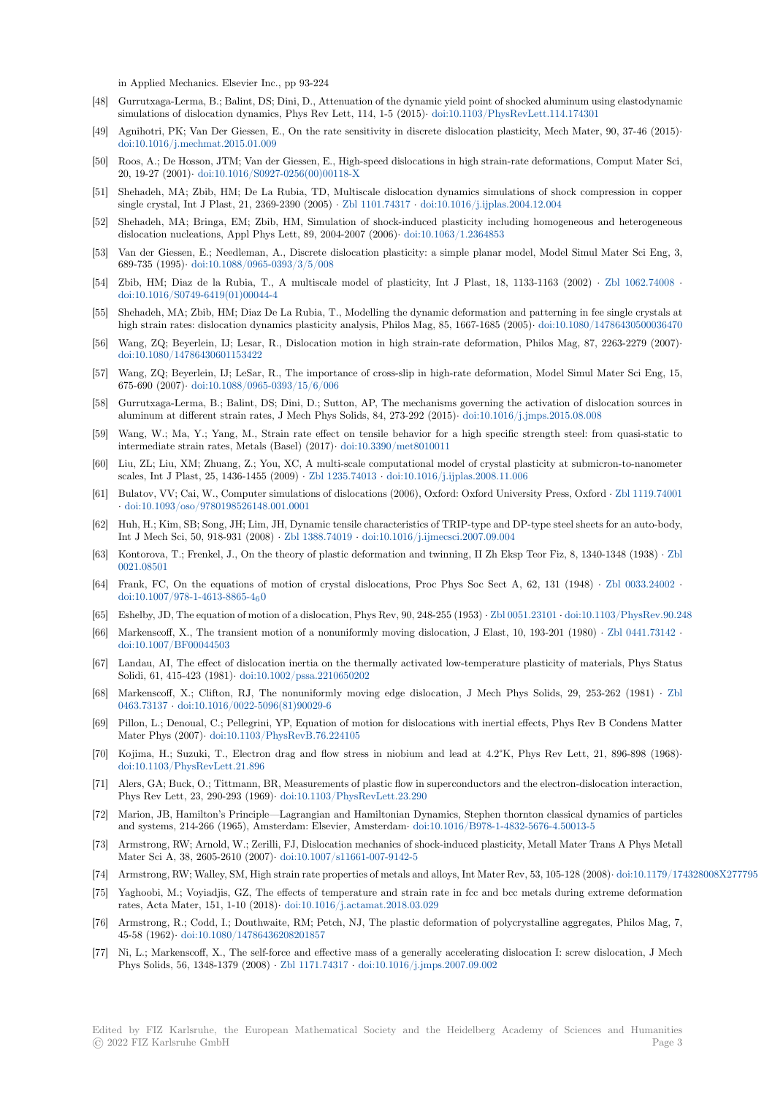in Applied Mechanics. Elsevier Inc., pp 93-224

- [48] Gurrutxaga-Lerma, B.; Balint, DS; Dini, D., Attenuation of the dynamic yield point of shocked aluminum using elastodynamic simulations of dislocation dynamics, Phys Rev Lett, 114, 1-5 (2015)*·* doi:10.1103/PhysRevLett.114.174301
- [49] Agnihotri, PK; Van Der Giessen, E., On the rate sensitivity in discrete dislocation plasticity, Mech Mater, 90, 37-46 (2015)*·* doi:10.1016/j.mechmat.2015.01.009
- [50] Roos, A.; De Hosson, JTM; Van der Giessen, E., High-speed dislocations in high strain-rate deformations, Comput Mater Sci, 20, 19-27 (2001)*·* doi:10.1016/S0927-0256(00)00118-X
- [51] Shehadeh, MA; Zbib, HM; De La Rubia, TD, Multiscale dislocation dynamics simulations of shock compression in copper [single crystal, Int J Plast, 21, 2369-](https://dx.doi.org/10.1016/j.mechmat.2015.01.009)2390 (2005) *·* Zbl 1101.74317 *·* doi:10.1016/j.ijplas.2004.12.004
- [52] Shehadeh, MA; Bringa, EM; Zbib, HM, Simulation of shock-induced plasticity including homogeneous and heterogeneous dislocation nucle[ations, Appl Phys Lett, 89, 2004-2007](https://dx.doi.org/10.1016/S0927-0256(00)00118-X) (2006)*·* doi:10.1063/1.2364853
- [53] Van der Giessen, E.; Needleman, A., Discrete dislocation plasticity: a simple planar model, Model Simul Mater Sci Eng, 3, 689-735 (1995)*·* doi:10.1088/0965-0393/3/5/008
- [54] Zbib, HM; Diaz de la Rubia, T., A multiscale model of plasticity, Int J Plast, 18, 1133-1163 (2002) *·* Zbl 1062.74008 *·* doi:10.1016/S0749-6419(01)00044-4
- [55] Shehadeh, MA; Zbib, HM; Diaz De La Rubia, T., Modelling the dynamic deformation and patterning in fee single crystals at high strain rate[s: dislocation dynamics plasticity](https://dx.doi.org/10.1088/0965-0393/3/5/008) analysis, Philos Mag, 85, 1667-1685 (2005)*·* doi:10.1080/14786430500036470
- [56] Wang, ZQ; Beyerlein, IJ; Lesar, R., Dislocation motion in high strain-rate deformation, Philos Mag, 87, [2263-2279 \(2007](https://zbmath.org/1062.74008))*·* [doi:10.1080/14786430601153422](https://dx.doi.org/10.1016/S0749-6419(01)00044-4)
- [57] Wang, ZQ; Beyerlein, IJ; LeSar, R., The importance of cross-slip in high-rate deformation, Model Simul Mater Sci Eng, 15, 675-690 (2007)*·* doi:10.1088/0965-0393/15/6/006
- [58] Gurrutxaga-Lerma, B.; Balint, DS; Dini, D.; Sutton, AP, The mechanisms governing the activation of dislocation sources in [aluminum at different strain rat](https://dx.doi.org/10.1080/14786430601153422)es, J Mech Phys Solids, 84, 273-292 (2015)*·* doi:10.1016/j.jmps.2015.08.008
- [59] Wang, W.; Ma, Y.; Yang, M., Strain rate effect on tensile behavior for a high specific strength steel: from quasi-static to intermediate str[ain rates, Metals \(Basel\) \(2017\)](https://dx.doi.org/10.1088/0965-0393/15/6/006)*·* doi:10.3390/met8010011
- [60] Liu, ZL; Liu, XM; Zhuang, Z.; You, XC, A multi-scale computational model of crystal plasticity at submicron-to-nanometer scales, Int J Plast, 25, 1436-1455 (2009) *·* Zbl 1235.74013 *·* doi:10.1016/j.ijp[las.2008.11.006](https://dx.doi.org/10.1016/j.jmps.2015.08.008)
- [61] Bulatov, VV; Cai, W., Computer simulations of dislocations (2006), Oxford: Oxford University Press, Oxford *·* Zbl 1119.74001 *·* doi:10.1093/oso/9780198526148.001.0001
- [62] Huh, H.; Kim, SB; Song, JH; Lim, JH, Dynamic tensile characteristics of TRIP-type and DP-type steel sheets for an auto-body, Int J Mech Sci, 50, 918-931 (2008) *·* Zbl1[388.74019](https://zbmath.org/1235.74013) *·* doi:1[0.1016/j.ijmecsci.2007.09.004](https://dx.doi.org/10.1016/j.ijplas.2008.11.006)
- [63] Kontorova, T.; Frenkel, J., On the theory of plastic deformation and twinning, II Zh Eksp Teor Fiz, 8, 1340-1[348 \(1938\)](https://zbmath.org/1119.74001) *·* Zbl 0[021.08501](https://dx.doi.org/10.1093/oso/9780198526148.001.0001)
- [64] Frank, FC, On the equations of motion of crystal dislocations, Proc Phys Soc Sect A, 62, 131 (1948) *·* Zbl 0033.24002 *·* doi:10.1007/978-1-4613-8865-460
- [65] Eshelby, JD, The equation of motion of a dislocation, Phys Rev, 90, 248-255 (1953) *·* Zbl 0051.23101 *·* doi:10.1103/PhysRev.[90.24](https://zbmath.org/0021.08501)8
- [66] [Markenscoff](https://zbmath.org/0021.08501), X., The transient motion of a nonuniformly moving dislocation, J Elast, 10, 193-201 (1980) *·* Zbl 0441.73142 *·* doi:10.1007/BF00044503
- [67] [Landau, AI, The effect of disloca](https://dx.doi.org/10.1007/978-1-4613-8865-4_60)tion inertia on the thermally activated low-temperature plasticity of materials, Phys Status Solidi, 61, 415-423 (1981)*·* doi:10.1002/pssa.2210650202
- [68] Markenscoff, X.; Clifton, RJ, The nonuniformly moving edge dislocation, J Mech Phys Solids, 29, 253-[262 \(1981\)](https://zbmath.org/0441.73142) *·* Zbl 0463.73137 *·* [doi:10.1016/](https://dx.doi.org/10.1007/BF00044503)0022-5096(81)90029-6
- [69] Pillon, L.; Denoual, C.; Pellegrini, YP, Equation of motion for dislocations with inertial effects, Phys Rev B Condens Matter Mater Phys (2007)*·* doi:10[.1103/PhysRevB.76.224105](https://dx.doi.org/10.1002/pssa.2210650202)
- [70] Kojima, H.; Suzuki, T., Electron drag and flow stress in niobium and lead at 4.2°K, Phys Rev Lett, 21, 896-898 (19[68\)](https://zbmath.org/0463.73137)*·* [doi:10.1103](https://zbmath.org/0463.73137)/[PhysRevLett.21.896](https://dx.doi.org/10.1016/0022-5096(81)90029-6)
- [71] Alers, GA; Buck, O.; Tittmann, BR, Measurements of plastic flow in superconductors and the electron-dislocation interaction, Phys Rev Lett, 23, 290-293 (1969)*·* [doi:10.1103/PhysR](https://dx.doi.org/10.1103/PhysRevB.76.224105)evLett.23.290
- [72] Marion, JB, Hamilton's Principle—Lagrangian and Hamiltonian Dynamics, Stephen thornton classical dynamics of particles [and systems, 214-266 \(1965\), Am](https://dx.doi.org/10.1103/PhysRevLett.21.896)sterdam: Elsevier, Amsterdam*·* doi:10.1016/B978-1-4832-5676-4.50013-5
- [73] Armstrong, RW; Arnold, W.; Zerilli, FJ, Dislocation mechanics of shock-induced plasticity, Metall Mater Trans A Phys Metall Mater Sci A, 38, 2605-2610 (2007)*·* [doi:10.1007/s11661-007-9142-5](https://dx.doi.org/10.1103/PhysRevLett.23.290)
- [74] Armstrong, RW; Walley, SM, High strain rate properties of metals and alloys, Int Mater Rev, 53, 105-128 (2008)*·* doi:10.1179/174328008X277795
- [75] Yaghoobi, M.; Voyiadjis, GZ, The effects of temperature and st[rain rate in fcc and bcc metals during ex](https://dx.doi.org/10.1016/B978-1-4832-5676-4.50013-5)treme deformation rates, Acta Mater, 151, 1-10 (2018)*·* doi:10.1016/j.actamat.2018.03.029
- [76] Armstrong, R.; Codd, I.; Douthwai[te, RM; Petch, NJ, The plastic](https://dx.doi.org/10.1007/s11661-007-9142-5) deformation of polycrystalline aggregates, Philos Mag, 7, 45-58 (1962)*·* doi:10.1080/14786436208201857
- [77] Ni, L.; Markenscoff, X., The self-force and effective mass of a generally accelerating dislocation I: screw dislocation, J Mech Phys Solids, 56, 1348-1379 (2008) *·* Zbl 1171.74317 *·* [doi:10.1016/j.jmps](https://dx.doi.org/10.1016/j.actamat.2018.03.029).2007.09.002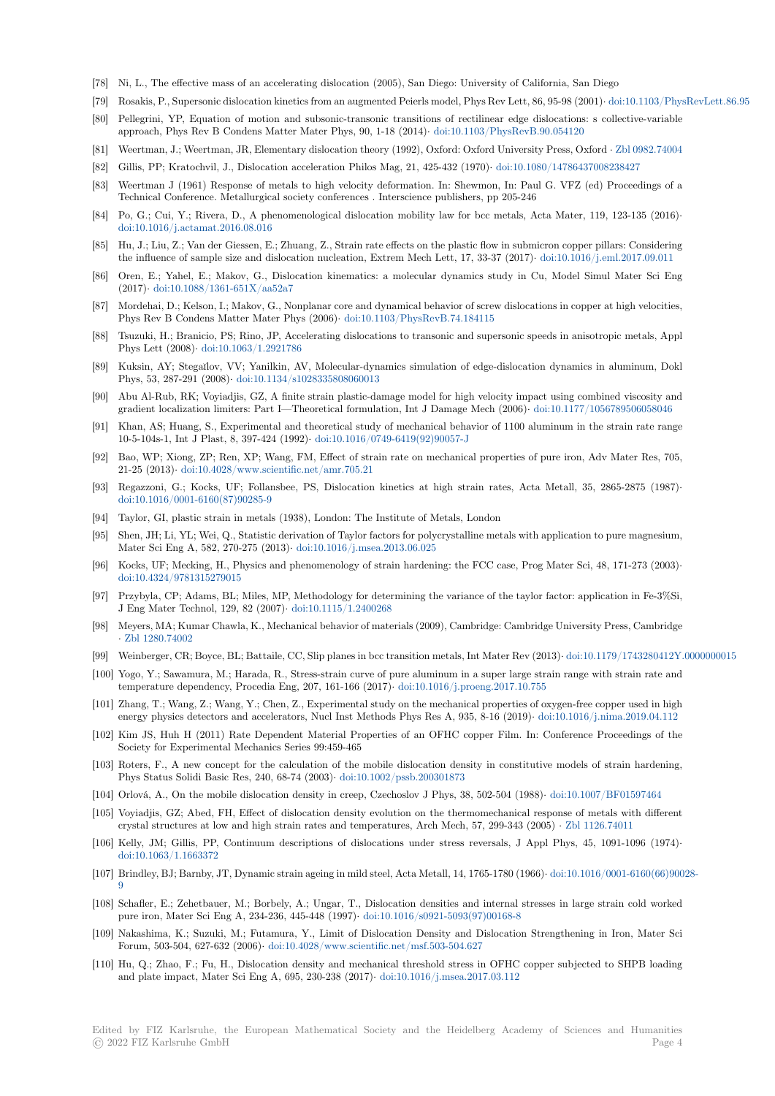- [78] Ni, L., The effective mass of an accelerating dislocation (2005), San Diego: University of California, San Diego
- [79] Rosakis, P., Supersonic dislocation kinetics from an augmented Peierls model, Phys Rev Lett, 86, 95-98 (2001)*·* doi:10.1103/PhysRevLett.86.95
- [80] Pellegrini, YP, Equation of motion and subsonic-transonic transitions of rectilinear edge dislocations: s collective-variable approach, Phys Rev B Condens Matter Mater Phys, 90, 1-18 (2014)*·* doi:10.1103/PhysRevB.90.054120
- [81] Weertman, J.; Weertman, JR, Elementary dislocation theory (1992), Oxford: Oxford University Press, Oxford *·* Zbl 0982.74004
- [82] Gillis, PP; Kratochvil, J., Dislocation acceleration Philos Mag, 21, 425-432 (1970)*·* doi:10.1080/1478643700[8238427](https://dx.doi.org/10.1103/PhysRevLett.86.95)
- [83] Weertman J (1961) Response of metals to high velocity deformation. In: Shewmon, In: Paul G. VFZ (ed) Proceedings of a Technical Conference. Metallurgical society conferences . Interscience [publishers, pp 205-246](https://dx.doi.org/10.1103/PhysRevB.90.054120)
- [84] Po, G.; Cui, Y.; Rivera, D., A phenomenological dislocation mobility law for bcc metals, Acta Mater, 119, [123-135 \(2016\)](https://zbmath.org/0982.74004)*·* doi:10.1016/j.actamat.2016.08.016
- [85] Hu, J.; Liu, Z.; Van der Giessen, E.; Zhuang, Z., Strain rate effects on the plastic flow in submicron copper pillars: Considering the influence of sample size and dislocation nucleation, Extrem Mech Lett, 17, 33-37 (2017)*·* doi:10.1016/j.eml.2017.09.011
- [86] Oren, E.; Yahel, E.; Makov, G., Dislocation kinematics: a molecular dynamics study in Cu, Model Simul Mater Sci Eng (2017)*·* [doi:10.1088/1361-651X/aa](https://dx.doi.org/10.1016/j.actamat.2016.08.016)52a7
- [87] Mordehai, D.; Kelson, I.; Makov, G., Nonplanar core and dynamical behavior of screw dislocations in copper at high velocities, Phys Rev B Condens Matter Mater Phys (2006)*·* doi:10.1103/PhysRevB.74.184115
- [88] Tsuzuki, H.; Branicio, PS; Rino, JP, Accelerating dislocations to transonic and supersonic speeds in anisotropic metals, Appl Phys Lett (2008)*·* [doi:10.1063/1.292178](https://dx.doi.org/10.1088/1361-651X/aa52a7)6
- [89] Kuksin, AY; Stegaĭlov, VV; Yanilkin, AV, Molecular-dynamics simulation of edge-dislocation dynamics in aluminum, Dokl Phys, 53, 287-291 (2008)*·* doi:10.1134/s102833580[8060013](https://dx.doi.org/10.1103/PhysRevB.74.184115)
- [90] Abu Al-Rub, RK; Voyiadjis, GZ, A finite strain plastic-damage model for high velocity impact using combined viscosity and gradient localizati[on limiters: Part I—Th](https://dx.doi.org/10.1063/1.2921786)eoretical formulation, Int J Damage Mech (2006)*·* doi:10.1177/1056789506058046
- [91] Khan, AS; Huang, S., Experimental and theoretical study of mechanical behavior of 1100 aluminum in the strain rate range 10-5-104s-1, Int J Plast,8[, 397-424 \(1992\)](https://dx.doi.org/10.1134/s1028335808060013)*·* doi:10.1016/0749-6419(92)90057-J
- [92] Bao, WP; Xiong, ZP; Ren, XP; Wang, FM, Effect of strain rate on mechanical properties of pure iron, Adv Mater Res, 705, 21-25 (2013)*·* doi:10.4028/www.scientific.net/amr.705.21
- [93] Regazzoni, G.; Kocks, UF; Follansbee, PS, Dislocation kinetics at high strain rates, Acta Metall, 35, 2865-2875 (1987)*·* doi:10.1016/0001-6160(87)90285-9
- [94] Taylor, GI, plastic strain in metals (1938), London: The Institute of Metals, London
- [95] Shen, JH; Li, [YL; Wei, Q., Statistic derivation of Taylor fa](https://dx.doi.org/10.4028/www.scientific.net/amr.705.21)ctors for polycrystalline metals with application to pure magnesium, Mater Sci Eng A, 582, 270-275 (2013)*·* doi:10.1016/j.msea.2013.06.025
- [96] [Kocks, UF; Mecking, H., Physics a](https://dx.doi.org/10.1016/0001-6160(87)90285-9)nd phenomenology of strain hardening: the FCC case, Prog Mater Sci, 48, 171-273 (2003)*·* doi:10.4324/9781315279015
- [97] Przybyla, CP; Adams, BL; Miles, MP, Methodology for determining the variance of the taylor factor: application in Fe-3%Si, J Eng Mater Technol, 129, 82 (2007)*·* [doi:10.1115/1.2400268](https://dx.doi.org/10.1016/j.msea.2013.06.025)
- [98] Meyers, MA; Kumar Chawla, K., Mechanical behavior of materials (2009), Cambridge: Cambridge University Press, Cambridge *·* [Zbl 1280.74002](https://dx.doi.org/10.4324/9781315279015)
- [99] Weinberger, CR; Boyce, BL; Battaile, CC, Slip planes in bcc transition metals, Int Mater Rev (2013)*·* doi:10.1179/1743280412Y.0000000015
- [100] Yogo, Y.; Sawamura, M.; Harada, R., [Stress-strain curve of p](https://dx.doi.org/10.1115/1.2400268)ure aluminum in a super large strain range with strain rate and temperature dependency, Procedia Eng, 207, 161-166 (2017)*·* doi:10.1016/j.proeng.2017.10.755
- [101] Z[hang, T.; Wang](https://zbmath.org/1280.74002), Z.; Wang, Y.; Chen, Z., Experimental study on the mechanical properties of oxygen-free copper used in high energy physics detectors and accelerators, Nucl Inst Methods Phys Res A, 935, 8-16 (2019)*·* doi:10[.1016/j.nima.2019.04.112](https://dx.doi.org/10.1179/1743280412Y.0000000015)
- [102] Kim JS, Huh H (2011) Rate Dependent Material Properties of an OFHC copper Film. In: Conference Proceedings of the Society for Experimental Mechanics Series 99:459-465
- [103] Roters, F., A new concept for the calculation of the mobile dislocation density in constitutive models of strain hardening, Phys Status Solidi Basic Res, 240, 68-74 (2003)*·* doi:10.1002/pssb.200301873
- [104] Orlová, A., On the mobile dislocation density in creep, Czechoslov J Phys, 38, 502-504 (1988)*·* doi:10.1007/BF01597464
- [105] Voyiadjis, GZ; Abed, FH, Effect of dislocation density evolution on the thermomechanical response of metals with different crystal structures at low and high strain rates and temperatures, Arch Mech, 57, 299-343 (2005) *·* Zbl 1126.74011
- [106] Kelly, JM; Gillis, PP, Continuum descriptions [of dislocations under stress](https://dx.doi.org/10.1002/pssb.200301873) reversals, J Appl Phys, 45, 1091-1096 (1974)*·* doi:10.1063/1.1663372
- [107] Brindley, BJ; Barnby, JT, Dynamic strain ageing in mild steel, Acta Metall, 14, 1765-1780 (1966)*·* doi:10.1016/0001-6160(66)90028- 9
- [108] Schafler, E.; Zehetbauer, M.; Borbely, A.; Ungar, T., Dislocation densities and internal stresses in large strain cold worked [pure iron, Mater Sci E](https://dx.doi.org/10.1063/1.1663372)ng A, 234-236, 445-448 (1997)*·* doi:10.1016/s0921-5093(97)00168-8
- [109] Nakashima, K.; Suzuki, M.; Futamura, Y., Limit of Dislocation Density and Dislocation Stre[ngthening in Iron, Mater Sci](https://dx.doi.org/10.1016/0001-6160(66)90028-9) [F](https://dx.doi.org/10.1016/0001-6160(66)90028-9)orum, 503-504, 627-632 (2006)*·* doi:10.4028/www.scientific.net/msf.503-504.627
- [110] Hu, Q.; Zhao, F.; Fu, H., Dislocation density and mechanical threshold stress in OFHC copper subjected to SHPB loading and plate impact, Mater Sci Eng A, 695, 230-238 (2017)*·* [doi:10.1016/j.msea.2017.03.112](https://dx.doi.org/10.1016/s0921-5093(97)00168-8)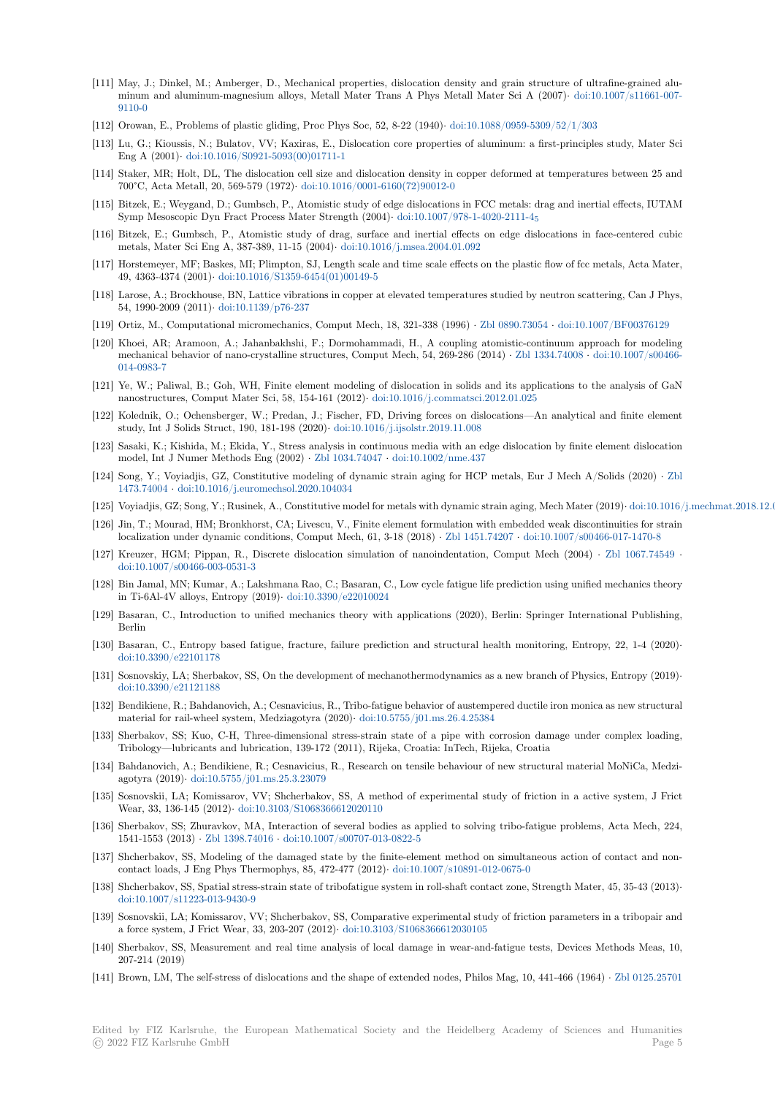- [111] May, J.; Dinkel, M.; Amberger, D., Mechanical properties, dislocation density and grain structure of ultrafine-grained aluminum and aluminum-magnesium alloys, Metall Mater Trans A Phys Metall Mater Sci A (2007)*·* doi:10.1007/s11661-007- 9110-0
- [112] Orowan, E., Problems of plastic gliding, Proc Phys Soc, 52, 8-22 (1940)*·* doi:10.1088/0959-5309/52/1/303
- [113] Lu, G.; Kioussis, N.; Bulatov, VV; Kaxiras, E., Dislocation core properties of aluminum: a first-principles study, Mater Sci Eng A (2001)*·* doi:10.1016/S0921-5093(00)01711-1
- [114] [Staker,](https://dx.doi.org/10.1007/s11661-007-9110-0) MR; Holt, DL, The dislocation cell size and dislocation density in copper deformed at temperatures between 25 and 700°C, Acta Metall, 20, 569-579 (1972)*·* doi:10.1016/0001-6160(72)90012-[0](https://dx.doi.org/10.1088/0959-5309/52/1/303)
- [115] Bitzek, E.; Weygand, D.; Gumbsch, P., Atomistic study of edge dislocations in FCC metals: drag and inertial effects, IUTAM Symp Mesosco[pic Dyn Fract Process Mater Streng](https://dx.doi.org/10.1016/S0921-5093(00)01711-1)th (2004)*·* doi:10.1007/978-1-4020-2111-4<sup>5</sup>
- [116] Bitzek, E.; Gumbsch, P., Atomistic study of drag, surface and inertial effects on edge dislocations in face-centered cubic metals, Mater Sci Eng A, 387-389, 11-15 (2004)*·* [doi:10.1016/j.msea.2004.0](https://dx.doi.org/10.1016/0001-6160(72)90012-0)1.092
- [117] Horstemeyer, MF; Baskes, MI; Plimpton, SJ, Length scale and time scale effects on the plastic flow of fcc metals, Acta Mater, 49, 4363-4374 (2001)*·* doi:10.1016/S1359-6454(01)00149-5
- [118] Larose, A.; Brockhouse, BN, Lattice vibrations in copper at elevated temperatures studied by neutron scattering, Can J Phys, 54, 1990-2009 (2011)*·* doi:10.1139/p76-237
- [119] Ortiz, M., Computational micromechanics, Comput Mech, 18, 321-338 (1996) *·* Zbl 0890.73054 *·* doi:10.1007/BF00376129
- [120] Khoei, AR; Aramoon[, A.; Jahanbakhshi, F.; Dormoham](https://dx.doi.org/10.1016/S1359-6454(01)00149-5)madi, H., A coupling atomistic-continuum approach for modeling mechanical behavior of nano-crystalline structures, Comput Mech, 54, 269-286 (2014) *·* Zbl 1334.74008 *·* doi:10.1007/s00466- 014-0983-7
- [121] Ye, W.; Paliwal, B.; Goh, WH, Finite element modeling of dislocation in solid[s and its applica](https://zbmath.org/0890.73054)t[ions to the analysis of G](https://dx.doi.org/10.1007/BF00376129)aN nanostructures, Comput Mater Sci, 58, 154-161 (2012)*·* doi:10.1016/j.commatsci.2012.01.025
- [122] Kolednik, O.; Ochensberger, W.; Predan, J.; Fischer, FD, Driving forces on dislocatio[ns—An analytic](https://zbmath.org/1334.74008)a[l and finite element](https://dx.doi.org/10.1007/s00466-014-0983-7) [study, Int J](https://dx.doi.org/10.1007/s00466-014-0983-7) Solids Struct, 190, 181-198 (2020)*·* doi:10.1016/j.ijsolstr.2019.11.008
- [123] Sasaki, K.; Kishida, M.; Ekida, Y., Stress analysis in continuous media with an edge dislocation by finite element dislocation model, Int J Numer Methods Eng (2002) *·* Zbl 1034.74047 *·* [doi:10.1002/nme.437](https://dx.doi.org/10.1016/j.commatsci.2012.01.025)
- [124] Song, Y.; Voyiadjis, GZ, Constitutive modeling of dynamic strain aging for HCP metals, Eur J Mech A/Solids (2020) *·* Zbl 1473.74004 *·* doi:10.1016/j.euromechsol.2020.10[4034](https://dx.doi.org/10.1016/j.ijsolstr.2019.11.008)
- [125] Voyiadjis, GZ; Song, Y.; Rusinek, A., Constitutive model for metals with dynamic strain aging, Mech Mater (2019)*·* doi:10.1016/j.mechmat.2018.12.012
- [126] Jin, T.; Mourad, HM; Bronkhorst, CA; Liv[escu, V., Finite](https://zbmath.org/1034.74047) el[ement formulation wi](https://dx.doi.org/10.1002/nme.437)th embedded weak discontinuities for strain localization under dynamic conditions, Comput Mech, 61, 3-18 (2018) *·* Zbl 1451.74207 *·* doi:10.1007/s00466-017-1470-8
- [127] [Kreuzer, H](https://zbmath.org/1473.74004)G[M; Pippan, R., Discrete dislocation si](https://dx.doi.org/10.1016/j.euromechsol.2020.104034)mulation of nanoindentation, Comput Mech (2004) *·* Zbl 1067.74549 *·* doi:10.1007/s00466-003-0531-3
- [128] Bin Jamal, MN; Kumar, A.; Lakshmana Rao, C.; Basaran, C., Low cycle fatigue life prediction using unified mechanics theory in Ti-6Al-4V alloys, Entropy (2019)*·* doi:10.3390/e22010024
- [129] Basaran, C., Introduction to unified mechanics theory with applications (2020), Berlin: Springer Interna[tional Publishin](https://zbmath.org/1067.74549)g, [Berlin](https://dx.doi.org/10.1007/s00466-003-0531-3)
- [130] Basaran, C., Entropy based fatigue, fracture, failure prediction and structural health monitoring, Entropy, 22, 1-4 (2020)*·* doi:10.3390/e22101178
- [131] Sosnovskiy, LA; Sherbakov, SS, On the development of mechanothermodynamics as a new branch of Physics, Entropy (2019)*·* doi:10.3390/e21121188
- [132] Bendikiene, R.; Bahdanovich, A.; Cesnavicius, R., Tribo-fatigue behavior of austempered ductile iron monica as new structural [material for rail-wheel](https://dx.doi.org/10.3390/e22101178) system, Medziagotyra (2020)*·* doi:10.5755/j01.ms.26.4.25384
- [133] Sherbakov, SS; Kuo, C-H, Three-dimensional stress-strain state of a pipe with corrosion damage under complex loading, [Tribology—lubricants](https://dx.doi.org/10.3390/e21121188) and lubrication, 139-172 (2011), Rijeka, Croatia: InTech, Rijeka, Croatia
- [134] Bahdanovich, A.; Bendikiene, R.; Cesnavicius, R., Research on tensile behaviour of new structural material MoNiCa, Medziagotyra (2019)*·* doi:10.5755/j01.ms.25.3.23079
- [135] Sosnovskii, LA; Komissarov, VV; Shcherbakov, SS, A method of experimental study of friction in a active system, J Frict Wear, 33, 136-145 (2012)*·* doi:10.3103/S1068366612020110
- [136] Sherbakov, SS; Zhuravkov, MA, Interaction of several bodies as applied to solving tribo-fatigue problems, Acta Mech, 224, 1541-1553 (2013) *·* [Zbl 1398.74016](https://dx.doi.org/10.5755/j01.ms.25.3.23079) *·* doi:10.1007/s00707-013-0822-5
- [137] Shcherbakov, SS, Modeling of the damaged state by the finite-element method on simultaneous action of contact and noncontact loads, J Eng Phys [Thermophys, 85, 472-477 \(2012\)](https://dx.doi.org/10.3103/S1068366612020110)*·* doi:10.1007/s10891-012-0675-0
- [138] Shcherbakov, SS, Spatial stress-strain state of tribofatigue system in roll-shaft contact zone, Strength Mater, 45, 35-43 (2013)*·* doi:10.1007/s11223[-013-9430-9](https://zbmath.org/1398.74016)
- [139] Sosnovskii, LA; Komissarov, VV; Shcherbakov, SS, Comparative experimental study of friction parameters in a tribopair and a force system, J Frict Wear, 33, 203-207 (2012)*·* doi:10.310[3/S1068366612030105](https://dx.doi.org/10.1007/s10891-012-0675-0)
- [140] Sherbakov, SS, Measurement and real time analysis of local damage in wear-and-fatigue tests, Devices Methods Meas, 10, [207-214 \(2019\)](https://dx.doi.org/10.1007/s11223-013-9430-9)
- [141] Brown, LM, The self-stress of dislocations and the shape of extended nodes, Philos Mag, 10, 441-466 (1964) *·* Zbl 0125.25701